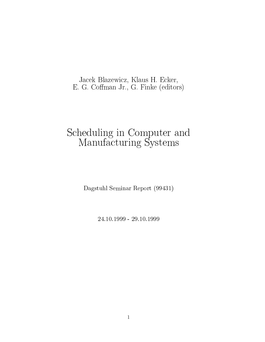# Jacek Blazewicz, Klaus H. Ecker, E. G. Coffman Jr., G. Finke (editors)

# Scheduling in Computer and Manufacturing Systems

De organisation Dominant Contract (99431)

24.1999 - 29.1999 - 29.1999 - 29.1999 - 20.1999 - 20.1999 - 20.1999 - 20.1999 - 2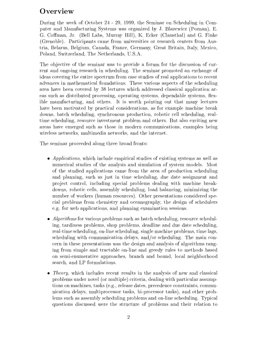# **Overview**

During the week of October 24 - 29, 1999, the Seminar on Scheduling in Computer and Manufacturing Systems was organized by J. Blazewicz (Poznan), E. G. Coffman, Jr. (Bell Labs, Murray Hill), K. Ecker (Clausthal) and G. Finke (Grenoble). Participants came from universities or research centers from Austria, Belarus, Belgium, Canada, France, Germany, Great Britain, Italy, Mexico, Poland, Switzerland, The Netherlands, U.S.A.

The objective of the seminar was to provide a forum for the discussion of current and ongoing research in scheduling. The seminar promoted an exchange of ideas covering the entire spectrum from case studies of real applications to recent advances in mathematical foundations. These various aspects of the scheduling area have been covered by 38 lectures which addressed classical application areas such as distributed processing, operating systems, dependable systems, flexible manufacturing, and others. It is worth pointing out that many lectures have been motivated by practical considerations, as for example machine break downs, batch scheduling, synchronous production, robotic cell scheduling, realtime scheduling, resource investment problem and others. But also exciting new areas have emerged such as those in modern communications, examples being wireless networks, multimedia networks, and the internet.

The seminar proceeded along three broad fronts:

- Applications, which include empirical studies of existing systems as well as numerical studies of the analysis and simulation of system models. Most of the studied applications came from the area of production scheduling and planning, such as just in time scheduling, due date assignment and pro ject control, including special problems dealing with machine breakdowns, robotic cells, assembly scheduling, load balancing, minimizing the number of workers (human resources). Other presentations considered special problems from chemistry and oceanography, the design of schedulers e.g. for web applications, and planning examination sessions.
- $\bullet$  *Algorithms* for various problems such as batch scheduling, resource scheduling, tardiness problems, shop problems, deadline and due date scheduling, real-time scheduling, on-line scheduling, single machine problems, time lags, scheduling with communication delays, and/or scheduling. The main concern in these presentations was the design and analysis of algorithms ranging from simple and tractable on-line and greedy rules to methods based on semi-enumerative approaches, branch and bound, local neighborhood search, and LP formulations.
- Theory, which includes recent results in the analysis of new and classical problems under novel (or multiple) criteria, dealing with particular assumptions on machines, tasks (e.g., release dates, precedence constraints, communication delays, multiprocessor tasks, bi-processor tasks), and other problems such as assembly scheduling problems and on-line scheduling. Typical questions discussed were the structure of problems and their relation to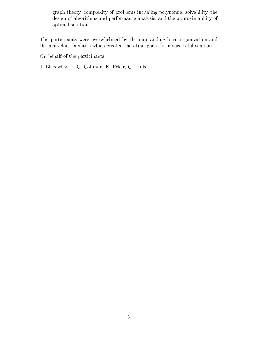graph theory, complexity of problems including polynomial solvability, the design of algorithms and performance analysis, and the approximability of optimal solutions.

The participants were overwhelmed by the outstanding local organization and the marvelous facilities which created the atmosphere for a successful seminar.

On behalf of the participants,

J. Blazewicz, E. G. Coffman, K. Ecker, G. Finke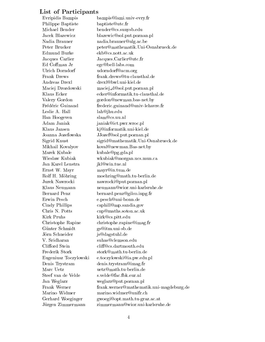#### List of Participants

Evripidis Bampis bampis@lami.univ-evry.fr Philippe Baptiste baptiste@utc.fr Michael Bender bender@cs.sunysb.edu Jacek Blazewicz blazewic@sol.put.poznan.pl Nadia Brauner nadia.brauner@ulg.ac.be Peter Brucker peter@mathematik.Uni-Osnabrueck.de Edmund Burke ekb@cs.nott.ac.uk Jacques Carlier Jacques.Carlier@utc.fr Ed Coffman Jr egc@bell-labs.com Ulrich Dorndorf udorndorf @acm.org Frank Drews frank.drews@tu-clausthal.de Andreas Drexl drexl@bwl.uni-kiel.de Maciej Drozdowski maciej d@sol.put.poznan.pl Klaus Ecker ecker@informatik.tu-clausthal.de Valery Gordon gordon@newman.bas-net.by Frédéric Guinand frederic.guinand@univ-lehavre.fr Leslie A. Hall lah@jhu.edu Han Hoogeven slam@cs.uu.nl Adam Janiak janiak@ict.pwr.wroc.pl Klaus Jansen kj@informatik.uni-kiel.de Joanna Jozefowska JJozef@sol.put.poznan.pl Sigrid Knust sigrid@mathematik.Uni-Osnabrueck.de Mikhail Kovalyov koval@newman.Bas-net.by Marek Kubale kubale@pg.gda.pl Wieslaw Kubiak wkubiak@morgan.ucs.mun.ca Jan Karel Lenstra jkl@win.tue.nl Ernst W. Mayr mayr@in.tum.de Rolf H. Möhring moehring@math.tu-berlin.de Jurek Nawrocki nawrocki@put.poznan.pl Klaus Neumann neumann@wior.uni-karlsruhe.de Bernard Penz bernard.penz@gilco.inpg.fr Erwin Pesch e.pesch@uni-bonn.de Cindy Phillips caphill@mp.sandia.gov Chris N. Potts cnp@maths.soton.ac.uk Kirk Pruhs kirk@cs.pitt.edu Christophe Rapine christophe.rapine@imag.fr Günter Schmidt gs@itm.uni-sb.de Jorn Schneider js@dagstuhl.de V. Sridharan suhas@clemson.edu Frederik Stork stork@math.tu-berlin.de Eugeniusz Toczylowski e.toczylowski@ia.pw.edu.pl Denis Trystram denis.trystram@imag.fr Marc Uetz uetz@math.tu-berlin.de Steef van de Velde s.velde@fac.fbk.eur.nl Jan Weglarz weglarz@put.poznan.pl Frank Werner frank.werner@mathematik.uni-magdeburg.de Marino Widmer marino.widmer@unifr.ch Gerhard Woeginger gwoegi@opt.math.tu-graz.ac.at Jürgen Zimmermann zimmermann@wior.uni-karlsruhe.de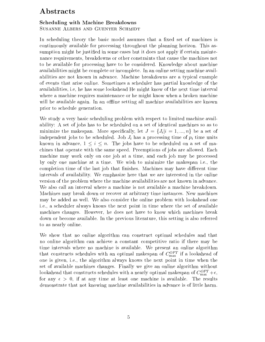## Abstracts

#### Scheduling with Machine Breakdowns Susanne Albers and Guenter Schmidt

In scheduling theory the basic model assumes that a fixed set of machines is continuously available for processing throughout the planning horizon. This assumption might be justied in some cases but it does not apply if certain maintenance requirements, breakdowns or other constraints that cause the machines not to be available for processing have to be considered. Knowledge about machine availabilities might be complete or incomplete. In an online setting machine availabilities are not known in advance. Machine breakdowns are a typical example of events that arise online. Sometimes a scheduler has partial knowledge of the availabilities, i.e, he has some lookahead He might know of the next time interval where a machine requires maintenance or he might know when a broken machine will be available again. In an offline setting all machine availabilities are known prior to schedule generation.

We study a very basic scheduling problem with respect to limited machine availability: A set of jobs has to be scheduled on a set of identical machines so as to minimize the makespan. More specifically, let  $J = \{J_i | i = 1, ..., n\}$  be a set of independent jobs to be scheduled. Job  $J_i$  has a processing time of  $p_i$  time units known in advance, 1 in advance, 1 in advance, 1 in advance, 1 in a set of machines that operate with the same speed. Preemptions of jobs are allowed. Each machine may work only on one job at a time, and each job may be processed by only one machine at a time. We wish to minimize the makespan i.e., the completion time of the last job that finishes. Machines may have different time intervals of availability. We emphasize here that we are interested in the online version of the problem where the machine availabilities are not known in advance. We also call an interval where a machine is not available a machine breakdown. Machines may break down or recover at arbitrary time instances. New machines may be added aswell. We also consider the online problem with lookahead one i.e., a scheduler always knows the next point in time where the set of available machines changes. However, he does not have to know which machines break down or become available. In the previous literature, this setting is also referred to as nearly online.

We show that no online algorithm can construct optimal schedules and that no online algorithm can achieve a constant competitive ratio if there may be time intervals where no machine is available. We present an online algorithm that constructs schedules with an optimal makespan of  $C_{\rm max}^{\rm max}$  if a lookahead of one is given, i.e., the algorithm always knows the next point in time when the set of available machines changes. Finally we give an online algorithm without lookahead that constructs schedules with a hearly optimal makespan of  $C_{\rm max}^+ + \epsilon,$ for any  $\epsilon > 0$ , if at any time at least one machine is available. The results demonstrate that not knowing machine availabilities in advance is of little harm.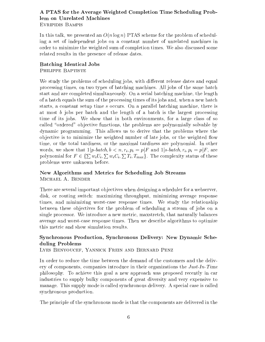#### A PTAS for the Average Weighted Completion Time Scheduling Problem on Unrelated Machines Evripidis Bampis

In this talk, we presented an  $O(n \log n)$  PTAS scheme for the problem of scheduling a set of independent jobs on a constant number of unrelated machines in order to minimize the weighted sum of completion times. We also discussed some related results in the presence of release dates.

# Batching Identical Jobs

PHILIPPE BAPTISTE

We study the problems of scheduling jobs, with different release dates and equal processing times, on two types of batching machines. All jobs of the same batch start and are completed simultaneously. On a serial batching machine, the length of a batch equals the sum of the processing times of its jobs and, when a new batch starts, a constant setup time <sup>s</sup> occurs. On a parallel batching machine, there is at most b jobs per batch and the length of a batch is the largest processing time of its jobs. We show that in both environments, for a large class of so called "ordered" objective functions, the problems are polynomially solvable by dynamic programming. This allows us to derive that the problems where the objective is to minimize the weighted number of late jobs, or the weighted flow time, or the total tardiness, or the maximal tardiness are polynomial. In other words, we show that  $1|p\text{-}batch, b < n, r_i, p_i = p|F$  and  $1|s\text{-}batch, r_i, p_i = p|F$ , are polynomial for  $F \in \{ \sum w_i U_i, \sum w_i C_i, \sum T_i, T_{\text{max}} \}$ . The complexity status of these problems were unknown before.

#### New Algorithms and Metrics for Scheduling Job Streams Michael A. Bender

There are several important objectives when designing a scheduler for a webserver, disk, or routing switch: maximizing throughput, minimizing average response times, and minimizing worst-case response times. We study the relationship between these ob jectives for the problem of scheduling a stream of jobs on a single processor. We introduce a new metric, maxstretch, that naturally balances average and worst-case response times. Then we describe algorithms to optimize this metric and show simulation results.

#### Synchronous Production, Synchronous Delivery: New Dynamic Scheduling Problems

Lyes Benyoucef, Yannick Frein and Bernard Penz

In order to reduce the time between the demand of the customers and the delivery of components, companies introduce in their organizations the  $Just-In-Time$ philosophy. To achieve this goal a new approach was proposed recently in car industries to supply bulky components of great diversity and very expensive to manage. This supply mode is called synchronous delivery. A special case is called synchronous production.

The principle of the synchronous mode is that the components are delivered in the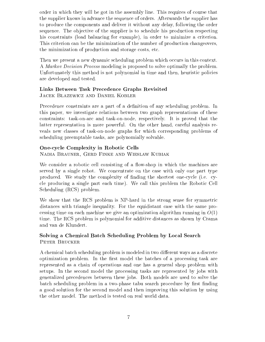order in which they will be got in the assembly line. This requires of course that the supplier knows in advance the sequence of orders. Afterwards the supplier has to produce the components and deliver it without any delay, following the order sequence. The objective of the supplier is to schedule his production respecting his constraints (load balancing for example), in order to minimize a criterion. This criterion can be the minimization of the number of production changeovers, the minimization of production and storage costs, etc.

Then we present a new dynamic scheduling problem which occurs in this context. A Markov Decision Process modeling is proposed to solve optimally the problem. Unfortunately this method is not polynomial in time and then, heuristic policies are developed and tested.

#### Links Between Task Precedence Graphs Revisited

Jacek Blazewicz and Daniel Kobler

Precedence constraints are a part of a definition of any scheduling problem. In this paper, we investigate relations between two graph representations of these constraints: task-on-arc and task-on-node, respectively. It is proved that the latter representation is more powerful. On the other hand, careful analysis reveals new classes of task-on-node graphs for which corresponding problems of scheduling preemptable tasks, are polynomially solvable.

#### One-cycle Complexity in Robotic Cells Nadia Brauner, Gerd Finke and Wieslaw Kubiak

We consider a robotic cell consisting of a flow-shop in which the machines are served by a single robot. We concentrate on the case with only one part type produced. We study the complexity of nding the shortest one-cycle (i.e. cycle producing a single part each time). We call this problem the Robotic Cell Scheduling (RCS) problem.

We show that the RCS problem is NP-hard in the strong sense for symmetric distances with triangle inequality. For the equidistant case with the same processing time on each machine we give an optimization algorithm running in  $O(1)$ time. The RCS problem is polynomial for additive distances as shown by Crama and van de Klundert.

#### Solving a Chemical Batch Scheduling Problem by Local Search PETER BRUCKER

A chemical batch scheduling problem is modeled in two different ways as a discrete optimization problem. In the first model the batches of a processing task are represented as a chain of operations and one has a general shop problem with setups. In the second model the processing tasks are represented by jobs with generalized precedences between these jobs. Both models are used to solve the batch scheduling problem in a two-phase tabu search procedure by first finding a good solution for the second model and then improving this solution by using the other model. The method is tested on real world data.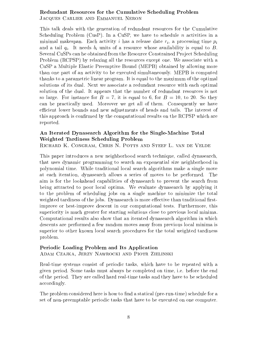#### Redundant Resources for the Cumulative Scheduling Problem Jacques Carlier and Emmanuel Neron

This talk deals with the generation of redundant resources for the Cumulative Scheduling Problem (CusP). In a CuSP, we have to schedule  $n$  activities in a minimal makespan. Each activity i has a release date  $r_i$ , a processing time  $p_i$ and a tail  $q_i$ . It needs  $b_i$  units of a resource whose availability is equal to B. Several CuSPs can be obtained from the Resource Constrained Project Scheduling Problem (RCPSP) by relaxing all the resources except one. We associate with a CuSP a Multiple Elastic Preemptive Bound (MEPB) obtained by allowing more than one part of an activity to be executed simultaneously. MEPB is computed thanks to a parametric linear program. It is equal to the maximum of the optimal solutions of its dual. Next we associate a redundant resource with each optimal solution of the dual. It appears that the number of redundant resources is not so large. For instance for  $B = 7$ , it is equal to 6, for  $B = 10$ , to 20. So they can be practically used. Moreover we get all of them. Consequently we have efficient lower bounds and new adjustments of heads and tails. The interest of this approach is confirmed by the computational results on the RCPSP which are reported.

#### An Iterated Dynasearch Algorithm for the Single-Machine Total Weighted Tardiness Scheduling Problem

Richard K. Congram, Chris N. Potts and Steef L. van de Velde

This paper introduces a new neighborhood search technique, called dynasearch, that uses dynamic programming to search an exponential size neighborhood in polynomial time. While traditional local search algorithms make a single move at each iteration, dynasearch allows a series of moves to be performed. The aim is for the lookahead capabilities of dynasearch to prevent the search from being attracted to poor local optima. We evaluate dynasearch by applying it to the problem of scheduling jobs on a single machine to minimize the total weighted tardiness of the jobs. Dynasearch is more effective than traditional firstimprove or best-improve descent in our computational tests. Furthermore, this superiority is much greater for starting solutions close to previous local minima. Computational results also show that an iterated dynasearch algorithm in which descents are performed a few random moves away from previous local minima is superior to other known local search procedures for the total weighted tardiness problem.

#### Periodic Loading Problem and Its Application

Adam Czajka, Jerzy Nawrocki and Piotr Zielinski

Real-time systems consist of periodic tasks, which have to be repeated with a given period. Some tasks must always be completed on time, i.e. before the end of the period. They are called hard real-time tasks and they have to be scheduled accordingly.

The problem considered here is how to find a statical (pre-run-time) schedule for a set of non-preemptable periodic tasks that have to be executed on one computer.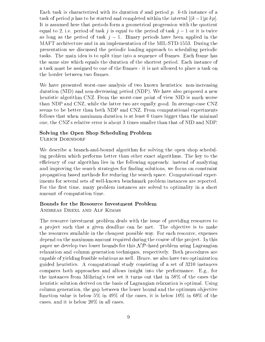Each task is characterized with its duration d and period p.  $k$ -th instance of a task of period p has to be started and completed within the interval  $[(k-1)p; kp]$ . It is assumed here that periods form a geometrical progression with the quotient equal to 2, i.e. period of task j is equal to the period of task  $j-1$  or it is twice as long as the period of task  $j-1$ . Binary periods have been applied in the MAFT architecture and in an implementation of the MIL-STD-1553. During the presentation we discussed the periodic loading approach to scheduling periodic tasks. The main idea is to split time into a sequence of frames. Each frame has the same size which equals the duration of the shortest period. Each instance of a task must be assigned to one of the frames - it is not allowed to place a task on the border between two frames.

We have presented worst-case analysis of two known heuristics: non-increasing duration (NID) and non-decreasing period (NDP). We have also proposed a new heuristic algorithm CNZ. From the worst-case point of view NID is much worse than NDP and CNZ, while the latter two are equally good. In average-case CNZ seems to be better than both NDP and CNZ. From computational experiments follows that when maximum duration is at least 6 times bigger than the minimal one, the CNZ's relative error is about 3 times smaller than that of NID and NDP.

## Solving the Open Shop Scheduling Problem

Ulrich Dorndorf

We describe a branch-and-bound algorithm for solving the open shop scheduling problem which performs better than other exact algorithms. The key to the efficiency of our algorithm lies in the following approach: instead of analyzing and improving the search strategies for finding solutions, we focus on constraint propagation based methods for reducing the search space. Computational experiments for several sets of well-known benchmark problem instances are reported. For the first time, many problem instances are solved to optimality in a short amount of computation time.

#### Bounds for the Resource Investment Problem

Andreas Drexl and Alf Kimms

The resource investment problem deals with the issue of providing resources to a project such that a given deadline can be met. The objective is to make the resources available in the cheapest possible way. For each resource, expenses depend on the maximum amount required during the course of the project. In this paper we develop two lower bounds for this  $N \mathcal{P}$ -hard problem using Lagrangian relaxation and column generation techniques, respectively. Both procedures are capable of yielding feasible solutions as well. Hence, we also have two optimization guided heuristics. A computational study consisting of a set of 3210 instances compares both approaches and allows insight into the performance. E.g., for the instances from Mohring's test set it turns out that in 58% of the cases the heuristic solution derived on the basis of Lagrangian relaxation is optimal. Using column generation, the gap between the lower bound and the optimum objective function value is below 5% in 49% of the cases, it is below 10% in 68% of the cases, and it is below 20% in all cases.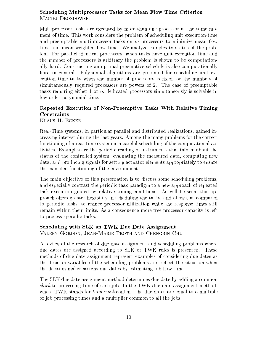#### Scheduling Multiprocessor Tasks for Mean Flow Time Criterion MACIEJ DROZDOWSKI

Multiprocessor tasks are executed by more than one processor at the same moment of time. This work considers the problem of scheduling unit execution-time and preemptable multiprocessor tasks on  $m$  processors to minimize mean flow time and mean weighted flow time. We analyze complexity status of the problem. For parallel identical processors, when tasks have unit execution time and the number of processors is arbitrary the problem is shown to be computationally hard. Constructing an optimal preemptive schedule is also computationally hard in general. Polynomial algorithms are presented for scheduling unit execution time tasks when the number of processors is fixed, or the numbers of simultaneously required processors are powers of 2. The case of preemptable tasks requiring either 1 or <sup>m</sup> dedicated processors simultaneously is solvable in low-order polynomial time.

## Repeated Execution of Non-Preemptive Tasks With Relative Timing Constraints

Klaus H. Ecker

Real-Time systems, in particular parallel and distributed realizations, gained increasing interest during the last years. Among the many problems for the correct functioning of a real-time system is a careful scheduling of the computational activities. Examples are the periodic reading of instruments that inform about the status of the controlled system, evaluating the measured data, computing new data, and producing signals for setting actuator elements appropriately to ensure the expected functioning of the environment.

The main objective of this presentation is to discuss some scheduling problems, and especially contrast the periodic task paradigm to a new approach of repeated task execution guided by relative timing conditions. As will be seen, this approach offers greater flexibility in scheduling the tasks, and allows, as compared to periodic tasks, to reduce processor utilization while the response times still remain within their limits. As a consequence more free processor capacity is left to process sporadic tasks.

## Scheduling with SLK an TWK Due Date Assignment

Valery Gordon, Jean-Marie Proth and Chengbin Chu

A review of the research of due date assignment and scheduling problems where due dates are assigned according to SLK or TWK rules is presented. These methods of due date assignment represent examples of considering due dates as the decision variables of the scheduling problems and reflect the situation when the decision maker assigns due dates by estimating job flow times.

The SLK due date assignment method determines due date by adding a common slack to processing time of each job. In the TWK due date assignment method, where TWK stands for *total work* content, the due dates are equal to a multiple of job processing times and a multiplier common to all the jobs.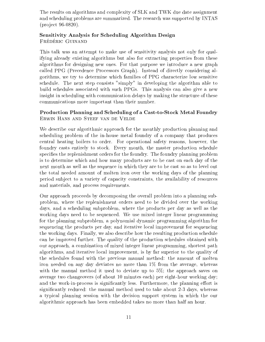The results on algorithms and complexity of SLK and TWK due date assignment and scheduling problems are summarized. The research was supported by INTAS (project 96-0820).

#### Sensitivity Analysis for Scheduling Algorithm Design FRÉDÉRIC GUINAND

This talk was an attempt to make use of sensitivity analysis not only for qualifying already existing algorithms but also for extracting properties from these algorithms for designing new ones. For that purpose we introduce a new graph called PPG (Precedence Processors Graph). Instead of directly considering algorithms, we try to determine which families of PPG characterize low sensitive schedule. The next step consists "simply" in developing the algorithm able to build schedules associated with such PPGs. This analysis can also give a new insight in scheduling with communication delays by making the structure of these communications more important than their number.

#### Production Planning and Scheduling of a Cast-to-Stock Metal Foundry Erwin Hans and Steef van de Velde

We describe our algorithmic approach for the monthly production planning and scheduling problem of the in-house metal foundry of a company that produces central heating boilers to order. For operational safety reasons, however, the foundry casts entirely to stock. Every month, the master production schedule specifies the replenishment orders for the foundry. The foundry planning problem is to determine which and how many products are to be cast on each day of the next month as well as the sequence in which they are to be cast so as to level out the total needed amount of molten iron over the working days of the planning period sub ject to a variety of capacity constraints, the availability of resources and materials, and process requirements.

Our approach proceeds by decomposing the overall problem into a planning subproblem, where the replenishment orders need to be divided over the working days, and a scheduling subproblem, where the products per day as well as the working days need to be sequenced. We use mixed integer linear programming for the planning subproblem, a polynomial dynamic programming algorithm for sequencing the products per day, and iterative local improvement for sequencing the working days. Finally, we also describe how the resulting production schedule can be improved further. The quality of the production schedules obtained with our approach, a combination of mixed integer linear programming, shortest path algorithms, and iterative local improvement, is by far superior to the quality of the schedules found with the previous manual method: the amount of molten iron needed on any day deviates no more than 1% from the average, whereas with the manual method it used to deviate up to 5%; the approach saves on average two changeovers (of about 10 minutes each) per eight-hour working day; and the work-in-process is significantly less. Furthermore, the planning effort is significantly reduced: the manual method used to take about 2-3 days, whereas a typical planning session with the decision support system in which the our algorithmic approach has been embedded takes no more than half an hour.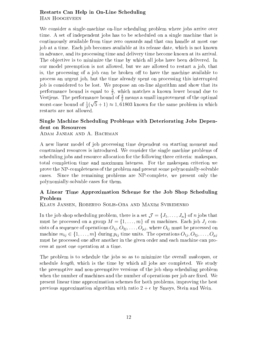#### Restarts Can Help in On-Line Scheduling Han Hoogeveen

We consider a single-machine on-line scheduling problem where jobs arrive over time. A set of independent jobs has to be scheduled on a single machine that is continuously available from time zero onwards and that can handle at most one job at a time. Each job becomes available at its release date, which is not known in advance, and its processing time and delivery time become known at its arrival. The objective is to minimize the time by which all jobs have been delivered. In our model preemption is not allowed, but we are allowed to restart a job, that is, the processing of a job can be broken off to have the machine available to process an urgent job, but the time already spent on processing this interrupted job is considered to be lost. We propose an on-line algorithm and show that its performance bound is equal to  $\frac{1}{6}$ , which matches a known lower bound due to Vestjens. The performance bound of  $\frac{3}{2}$  means a small improvement of the optimal worst-case bound of  $\frac{1}{2}(\sqrt{5}+1) \approx 1,61803$  known for the same problem in which restarts are not allowed.

#### Single Machine Scheduling Problems with Deteriorating Jobs Dependent on Resources

Adam Janiak and A. Bachman

A new linear model of job processing time dependent on starting moment and constrained resources is introduced. We consider the single machine problems of scheduling jobs and resource allocation for the following three criteria: makespan, total completion time and maximum lateness.For the makespan criterion we prove the NP-completeness of the problem and present some polynomially-solvable cases. Since the remaining problems are NP-complete, we present only the polynomially-solvable cases for them.

# A Linear Time Approximation Scheme for the Job Shop Scheduling

Klaus Jansen, Roberto Solis-Oba and Maxim Sviridenko

In the job shop scheduling problem, there is a set  $\mathcal{J} = \{J_1,\ldots,J_n\}$  of n jobs that must be processed on a group  $M = \{1, \ldots, m\}$  of m machines. Each job  $J_i$  consists of a sequence of operations  $O_{1j}, O_{2j}, \ldots, O_{\mu j}$ , where  $O_{ij}$  must be processed on machine  $m_{ij} \in \{1,\ldots,m\}$  during  $p_{ij}$  time units. The operations  $O_{1j}, O_{2j}, \ldots, O_{\mu j}$ must be processed one after another in the given order and each machine can process at most one operation at a time.

The problem is to schedule the jobs so as to minimize the overall makespan, or schedule length, which is the time by which all jobs are completed. We study the preemptive and non-preemptive versions of the job shop scheduling problem when the number of machines and the number of operations per job are fixed. We present linear time approximation schemes for both problems, improving the best previous approximation algorithm with ratio  $2 + \epsilon$  by Smoys, Stein and Wein.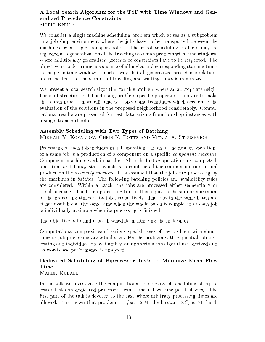#### A Local Search Algorithm for the TSP with Time Windows and Generalized Precedence Constraints Sigrid Knust

We consider a single-machine scheduling problem which arises as a subproblem in a job-shop environment where the jobs have to be transported between the machines by a single transport robot. The robot scheduling problem may be regarded as a generalization of the traveling salesman problem with time windows, where additionally generalized precedence constraints have to be respected. The ob jective is to determine a sequence of all nodes and corresponding starting times in the given time windows in such a way that all generalized precedence relations are respected and the sum of all traveling and waiting times is minimized.

We present a local search algorithm for this problem where an appropriate neighborhood structure is defined using problem-specific properties. In order to make the search process more efficient, we apply some techniques which accelerate the evaluation of the solutions in the proposed neighborhood considerably. Computational results are presented for test data arising from job-shop instances with a single transport robot.

#### Assembly Scheduling with Two Types of Batching Mikhail Y. Kovalyov, Chris N. Potts and Vitaly A. Strusevich

Processing of each job includes  $m+1$  operations. Each of the first m operations of a same job is a production of a component on a specic component machine. Component machines work in parallel. After the first  $m$  operations are completed, operation  $m+1$  may start, which is to combine all the components into a final product on the assembly machine. It is assumed that the jobs are processing by the machines in batches. The following batching policies and availability rules are considered. Within a batch, the jobs are processed either sequentially or simultaneously. The batch processing time is then equal to the sum or maximum of the processing times of its jobs, respectively. The jobs in the same batch are either available at the same time when the whole batch is completed or each job is individually available when its processing is finished.

The objective is to find a batch schedule minimizing the makespan.

Computational complexities of various special cases of the problem with simultaneous job processing are established. For the problem with sequential job processing and individual job availability, an approximation algorithm is derived and its worst-case performance is analyzed.

# Dedicated Scheduling of Biprocessor Tasks to Minimize Mean Flow

#### MAREK KUBALE

In the talk we investigate the computational complexity of scheduling of biprocessor tasks on dedicated processors from a mean flow time point of view. The first part of the talk is devoted to the case where arbitrary processing times are allowed. It is shown that problem  $P\rightarrow fix_i=2, M=$ doublestar $-\Sigma C_i$  is NP-hard.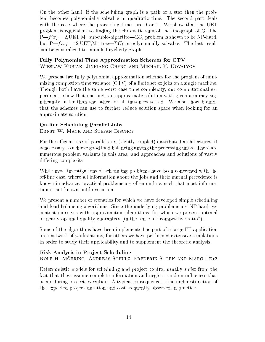On the other hand, if the scheduling graph is a path or a star then the problem becomes polynomially solvable in quadratic time. The second part deals with the case where the processing times are 0 or 1. We show that the UET problem is equivalent to finding the chromatic sum of the line-graph of G. The  $P\text{---}fix_j = 2,\text{UET},\text{M}=\text{subcubic-bipartite}+\Sigma C_j$  problem is shown to be NP-hard, but  $P_{\textit{f}} = 2$ , UET, M=tree- $\Sigma C_i$  is polynomially solvable. The last result can be generalized to bounded cyclicity graphs.

#### Fully Polynomial Time Approximation Schemes for CTV

Wieslaw Kubiak, Jinkiang Cheng and Mikhail Y. Kovalyov

We present two fully polynomial approximation schemes for the problem of minimizing completion time variance  $(TV)$  of a finite set of jobs on a single machine. Though both have the same worst case time complexity, our computational experiments show that one finds an approximate solution with given accuracy signicantly faster than the other for all instances tested. We also show bounds that the schemes can use to further reduce solution space when looking for an approximate solution.

#### On-line Scheduling Parallel Jobs

ERNST W. MAYR AND STEFAN BISCHOF

For the efficient use of parallel and (tightly coupled) distributed architectures, it is necessary to achieve good load balancing among the processing units. There are numerous problem variants in this area, and approaches and solutions of vastly differing complexity.

While most investigations of scheduling problems have been concerned with the off-line case, where all information about the jobs and their mutual precedence is known in advance, practical problems are often on-line, such that most information is not known until execution.

We present a number of scenarios for which we have developed simple scheduling and load balancing algorithms. Since the underlying problems are NP-hard, we content ourselves with approximation algorithms, for which we present optimal or nearly optimal quality guarantees (in the sense of "competitive ratio").

Some of the algorithms have been implemented as part of a large FE application on a network of workstations, for others we have performed extensive simulations in order to study their applicability and to supplement the theoretic analysis.

#### Risk Analysis in Pro ject Scheduling

ROLF H. MÖHRING, ANDREAS SCHULZ, FREDERIK STORK AND MARC UETZ

Deterministic models for scheduling and project control usually suffer from the fact that they assume complete information and neglect random influences that occur during project execution. A typical consequence is the underestimation of the expected project duration and cost frequently observed in practice.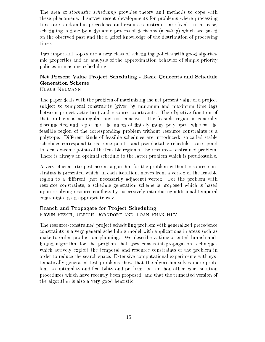The area of *stochastic scheduling* provides theory and methods to cope with these phenomena. I survey recent developments for problems where processing times are random but precedence and resource constraints are fixed. In this case, scheduling is done by a dynamic process of decisions (a  $policy$ ) which are based on the observed past and the a priori knowledge of the distribution of processing

Two important topics are a new classof scheduling policies with good algorithmic properties and an analysis of the approximation behavior of simple priority policies in machine scheduling.

## Net Present Value Pro ject Scheduling - Basic Concepts and Schedule Generation Scheme

Klaus Neumann

The paper deals with the problem of maximizing the net present value of a project subject to temporal constraints (given by minimum and maximum time lags between project activities) and resource constraints. The objective function of that problem is nonregular and not concave. The feasible region is generally disconnected and represents the union of nitely many polytopes, whereas the feasible region of the corresponding problem without resource constraints is a polytope. Different kinds of feasible schedules are introduced: so-called stable schedules correspond to extreme points, and pseudostable schedules correspond to local extreme points of the feasible region of the resource-constrained problem. There is always an optimal schedule to the latter problem which is pseudostable.

A very efficient steepest ascent algorithm for the problem without resource constraints is presented which, in each iteration, moves from a vertex of the feasible region to a different (not necessarily adjacent) vertex. For the problem with resource constraints, a schedule generation scheme is proposed which isbased upon resolving resource con
icts by successively introducing additional temporal constraints in an appropriate way.

#### Branch and Propagate for Project Scheduling

Erwin Pesch, Ulrich Dorndorf and Toan Phan Huy

The resource-constrained project scheduling problem with generalized precedence constraints is a very general scheduling model with applications in areas such as make-to-order production planning. We describe a time-oriented branch-andbound algorithm for the problem that uses constraint-propagation techniques which actively exploit the temporal and resource constraints of the problem in order to reduce the search space. Extensive computational experiments with systematically generated test problems show that the algorithm solves more problems to optimality and feasibility and performs better than other exact solution procedures which have recently been proposed, and that the truncated version of the algorithm is also a very good heuristic.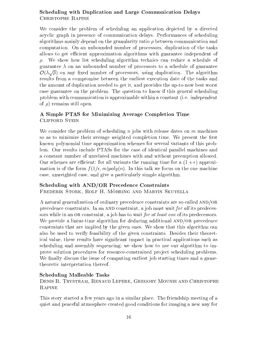#### Scheduling with Duplication and Large Communication Delays Christophe Rapine

We consider the problem of scheduling an application depicted by a directed acyclic graph in presence of communication delays. Performances of scheduling algorithms mainly depend on the granularity ratio  $\rho$  between communication and computation. On an unbounded number of processors, duplication of the tasks allows to get efficient approximation algorithms with guarantee independent of  $\rho$ . We show how list scheduling algorithm technics can reduce a schedule of guarantee  $\lambda$  on an unbounded number of processors to a schedule of guarantee  $\mathcal{O}(\lambda\sqrt{\rho})$  on any fixed number of processors, using duplication. The algorithm results from a compromise between the earliest execution date of the tasks and the amount of duplication needed to get it, and provides the up-to-now best worst case guarantee on the problem. The question to know if this general scheduling problem with communication is approximable within a constant (i.e. independent of  $\rho$ ) remains still open.

#### A Simple PTAS for Minimizing Average Completion Time Clifford Stein

We consider the problem of scheduling n jobs with release dates on  $m$  machines so as to minimize their average weighted completion time. We present the first known polynomial time approximation schemes for several variants of this problem. Our results include PTASs for the case of identical parallel machines and a constant number of unrelated machines with and without preemption allowed. Our schemes are efficient: for all variants the running time for a  $(1 + \epsilon)$  approximation is of the form  $f(1/\epsilon, m)poly(n)$ . In this talk we focus on the one machine case, unweighted case, and give a particularly simple algorithm.

#### Scheduling with AND/OR Precedence Constraints

FREDERIK STORK, ROLF H. MÖHRING AND MARTIN SKUTELLA

A natural generalization of ordinary precedence constraints are so-called AND/OR precedence constraints. In an AND constraint, a job must wait for all its predecessors while in an OR constraint, a job has to wait *for at least one* of its predecessors. We provide a linear-time algorithm for deducing additional AND/OR precedence constraints that are implied by the given ones. We show that this algorithm can also be used to verify feasibility of the given constraints. Besides their theoretical value, these results have signicant impact in practical applications such as scheduling and assembly sequencing; we show how to use our algorithm to improve solution procedures for resource-constrained pro ject scheduling problems. We finally discuss the issue of computing earliest job starting times and a gametheoretic interpretation thereof.

#### Scheduling Malleable Tasks

Denis R. Trystram, Renaud Lepere, Gregory Mounie and Christophe **RAPINE** 

This story started a few years ago in a similar place. The friendship meeting of a quiet and peaceful atmosphere created good conditions for imaging a new way for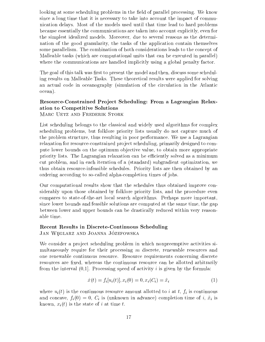looking at some scheduling problems in the field of parallel processing. We know since a long time that it is necessary to take into account the impact of communication delays. Most of the models used until that time lead to hard problems because essentially the communications are taken into account explicitly, even for the simplest idealized models. Moreover, due to several reasons as the determination of the good granularity, the tasks of the application contain themselves some parallelism. The combination of both considerations leads to the concept of Malleable tasks (which are computational units that can be executed in parallel) where the communications are handled implicitly using a global penalty factor.

The goal of this talk was first to present the model and then, discuss some scheduling results on Malleable Tasks. These theoretical results were applied for solving an actual code in oceanography (simulation of the circulation in the Atlantic ocean).

## Resource-Constrained Project Scheduling: From a Lagrangian Relaxation to Competitive Solutions

MARC UETZ AND FREDERIK STORK

List scheduling belongs to the classical and widely used algorithms for complex scheduling problems, but folklore priority lists usually do not capture much of the problem structure, thus resulting in poor performance. We use a Lagrangian relaxation for resource-constrained project scheduling, primarily designed to compute lower bounds on the optimum objective value, to obtain more appropriate priority lists. The Lagrangian relaxation can be efficiently solved as a minimum cut problem, and in each iteration of a (standard) subgradient optimization, we thus obtain resource-infeasible schedules. Priority lists are then obtained by an ordering according to so-called alpha-completion times of jobs.

Our computational results show that the schedules thus obtained improve considerably upon those obtained by folklore priority lists, and the procedure even compares to state-of-the-art local search algorithms. Perhaps more important, since lower bounds and feasible solutions are computed at the same time, the gap between lower and upper bounds can be drastically reduced within very reasonable time.

## Recent Results in Discrete-Continuous Scheduling

JAN WEGLARZ AND JOANNA JÓZEFOWSKA

We consider a project scheduling problem in which nonpreemptive activities simultaneously require for their processing <sup>m</sup> discrete, renewable resources and one renewable continuous resource. Resource requirements concerning discrete resources are fixed, whereas the continuous resource can be allotted arbitrarily from the interval  $(0,1]$ . Processing speed of activity i is given by the formula:

$$
\dot{x}(t) = f_i[u_i(t)], x_i(0) = 0, x_i(C_i) = \tilde{x}_i
$$
\n(1)

where  $u_i(t)$  is the continuous resource amount allotted to i at t,  $f_i$  is continuous and concave,  $f_i(0) = 0$ ,  $C_i$  is (unknown in advance) completion time of i,  $\tilde{x}_i$  is known,  $x_i(t)$  is the state of i at time t.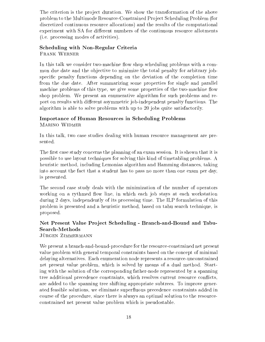The criterion is the project duration. We show the transformation of the above problem to the Multimode Resource-Constrained Pro ject Scheduling Problem (for discretized continuous resource allocations) and the results of the computational experiment with SA for different numbers of the continuous resource allotments (i.e. processing modes of activities).

#### Scheduling with Non-Regular Criteria Frank Werner

In this talk we consider two-machine flow shop scheduling problems with a common due date and the objective to minimize the total penalty for arbitrary jobspecific penalty functions depending on the deviation of the completion time from the due date. After summarizing some properties for single and parallel machine problems of this type, we give some properties of the two-machine flow shop problem. We present an enumerative algorithm for such problems and report on results with different asymmetric job-independent penalty functions. The algorithm is able to solve problems with up to 20 jobs quite satisfactorily.

#### Importance of Human Resources in Scheduling Problems Marino Widmer

In this talk, two case studies dealing with human resource management are presented.

The first case study concerns the planning of an exam session. It is shown that it is possible to use layout techniques for solving this kind of timetabling problems. A heuristic method, including Lemonias algorithm and Hamming distances, taking into account the fact that a student has to pass no more than one exam per day, is presented.

The second case study deals with the minimization of the number of operators working on a rythmed flow line, in which each job stays at each workstation during 2 days, independently of its processing time. The ILP formulation of this problem is presented and a heuristic method, based on tabu search technique, is proposed.

### Net Present Value Pro ject Scheduling - Branch-and-Bound and Tabu-Search-Methods

JÜRGEN ZIMMERMANN

We present a branch-and-bound-procedure for the resource-constrained net present value problem with general temporal constraints based on the concept of minimal delaying alternatives. Each enumeration node represents a resource-unconstrained net present value problem, which is solved by means of a dual method. Starting with the solution of the corresponding father-node represented by a spanning tree additional precedence constraints, which resolves current resource con
icts, are added to the spanning tree shifting appropriate subtrees. To improve generated feasible solutions, we eliminate superfluous precedence constraints added in course of the procedure, since there is always an optimal solution to the resourceconstrained net present value problem which is pseudostable.